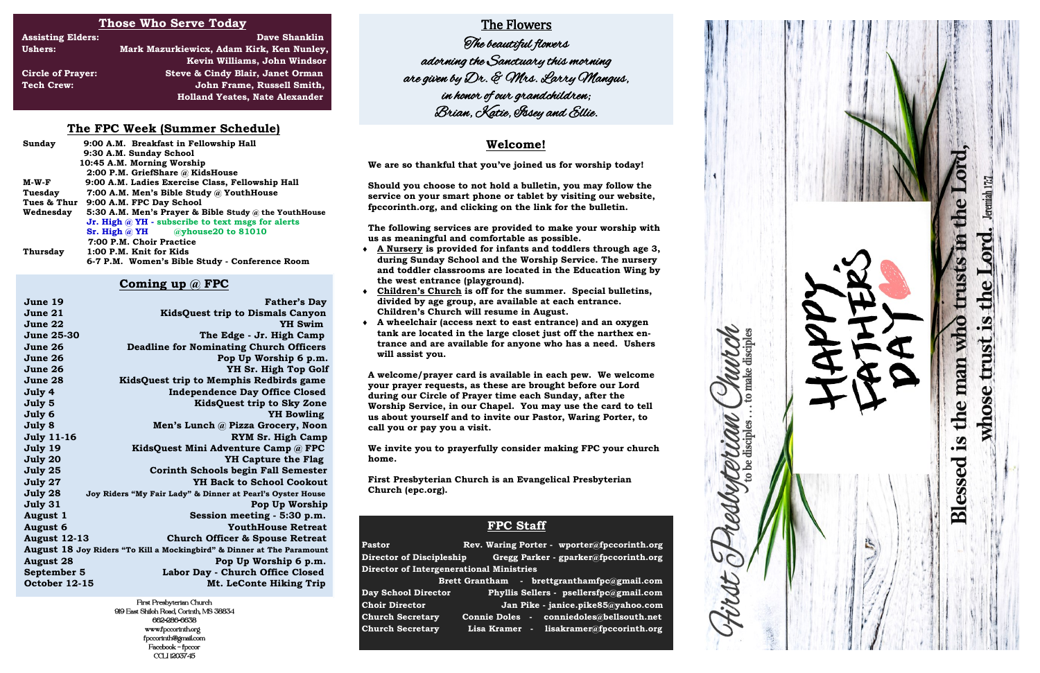# **Those Who Serve Today**

| <b>Assisting Elders:</b> | <b>Dave Shanklin</b>                      |
|--------------------------|-------------------------------------------|
| <b>Ushers:</b>           | Mark Mazurkiewicx, Adam Kirk, Ken Nunley, |
|                          | Kevin Williams, John Windsor              |
| <b>Circle of Prayer:</b> | Steve & Cindy Blair, Janet Orman          |
| <b>Tech Crew:</b>        | John Frame, Russell Smith,                |
|                          | <b>Holland Yeates, Nate Alexander</b>     |

# **FPC Staff**

Pastor **Rev. Waring Porter - wporter@fpccorinth.org Pastor Director of Discipleship Gregg Parker - gparker@fpccorinth.org Director of Intergenerational Ministries Brett Grantham - brettgranthamfpc@gmail.com Day School Director Phyllis Sellers - psellersfpc@gmail.com Choir Director Jan Pike - janice.pike85@yahoo.com Church Secretary Connie Doles - conniedoles@bellsouth.net Church Secretary Lisa Kramer - lisakramer@fpccorinth.org**

Redbytertians.



### **Welcome!**

**We are so thankful that you've joined us for worship today!** 

**Should you choose to not hold a bulletin, you may follow the service on your smart phone or tablet by visiting our website, fpccorinth.org, and clicking on the link for the bulletin.** 

**The following services are provided to make your worship with us as meaningful and comfortable as possible.** 

- **A Nursery is provided for infants and toddlers through age 3, during Sunday School and the Worship Service. The nursery and toddler classrooms are located in the Education Wing by the west entrance (playground).**
- **Children's Church is off for the summer. Special bulletins, divided by age group, are available at each entrance. Children's Church will resume in August.**
- **A wheelchair (access next to east entrance) and an oxygen tank are located in the large closet just off the narthex entrance and are available for anyone who has a need. Ushers will assist you.**

**A welcome/prayer card is available in each pew. We welcome your prayer requests, as these are brought before our Lord during our Circle of Prayer time each Sunday, after the Worship Service, in our Chapel. You may use the card to tell us about yourself and to invite our Pastor, Waring Porter, to call you or pay you a visit.** 

**We invite you to prayerfully consider making FPC your church home.** 

**First Presbyterian Church is an Evangelical Presbyterian Church (epc.org).** 

# **The FPC Week (Summer Schedule)**

| Sunday      | 9:00 A.M. Breakfast in Fellowship Hall                   |
|-------------|----------------------------------------------------------|
|             | 9:30 A.M. Sunday School                                  |
|             | 10:45 A.M. Morning Worship                               |
|             | 2:00 P.M. GriefShare @ KidsHouse                         |
| M-W-F       | 9:00 A.M. Ladies Exercise Class, Fellowship Hall         |
| Tuesday     | 7:00 A.M. Men's Bible Study @ YouthHouse                 |
| Tues & Thur | 9:00 A.M. FPC Day School                                 |
| Wednesday   | 5:30 A.M. Men's Prayer & Bible Study @ the YouthHouse    |
|             | Jr. High $\omega$ YH - subscribe to text msgs for alerts |
|             | Sr. High $\omega$ YH $\omega$ yhouse20 to 81010          |
|             | 7:00 P.M. Choir Practice                                 |
| Thursday    | 1:00 P.M. Knit for Kids                                  |
|             | 6-7 P.M. Women's Bible Study - Conference Room           |

## **Coming up @ FPC**

| June 19             | <b>Father's Day</b>                                                    |
|---------------------|------------------------------------------------------------------------|
| June 21             | <b>KidsQuest trip to Dismals Canyon</b>                                |
| June 22             | <b>YH Swim</b>                                                         |
| <b>June 25-30</b>   | The Edge - Jr. High Camp                                               |
| June 26             | <b>Deadline for Nominating Church Officers</b>                         |
| June 26             | Pop Up Worship 6 p.m.                                                  |
| June 26             | YH Sr. High Top Golf                                                   |
| June 28             | KidsQuest trip to Memphis Redbirds game                                |
| July 4              | <b>Independence Day Office Closed</b>                                  |
| July 5              | <b>KidsQuest trip to Sky Zone</b>                                      |
| July 6              | <b>YH</b> Bowling                                                      |
| July 8              | Men's Lunch @ Pizza Grocery, Noon                                      |
| <b>July 11-16</b>   | <b>RYM Sr. High Camp</b>                                               |
| July 19             | KidsQuest Mini Adventure Camp @ FPC                                    |
| July 20             | <b>YH Capture the Flag</b>                                             |
| July 25             | <b>Corinth Schools begin Fall Semester</b>                             |
| July 27             | <b>YH Back to School Cookout</b>                                       |
| July 28             | Joy Riders "My Fair Lady" & Dinner at Pearl's Oyster House             |
| July 31             | Pop Up Worship                                                         |
| August 1            | Session meeting - 5:30 p.m.                                            |
| <b>August 6</b>     | <b>YouthHouse Retreat</b>                                              |
| <b>August 12-13</b> | <b>Church Officer &amp; Spouse Retreat</b>                             |
|                     | August 18 Joy Riders "To Kill a Mockingbird" & Dinner at The Paramount |
| <b>August 28</b>    | Pop Up Worship 6 p.m.                                                  |
| September 5         | Labor Day - Church Office Closed                                       |
| October 12-15       | Mt. LeConte Hiking Trip                                                |
|                     |                                                                        |

First Presbyterian Church 919 East Shiloh Road, Corinth, MS 38834 662-286-6638 www.fpccorinth.org fpccorinth@gmail.com Facebook - fpccor CCLI 1203745

# The Flowers

 The beautiful flowers adorning the Sanctuary this morning are given by Dr. & Mrs. Larry Mangus, in honor of our grandchildren; Brian, Katie, Issey and Ellie.